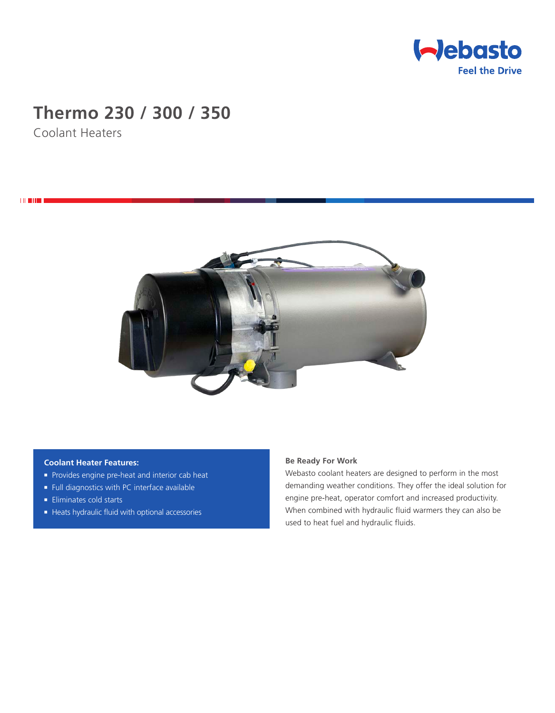

# **Thermo 230 / 300 / 350**

Coolant Heaters

**THEFT** 



## **Coolant Heater Features:**

- **Provides engine pre-heat and interior cab heat**
- <sup>n</sup> Full diagnostics with PC interface available
- $\blacksquare$  Eliminates cold starts
- Heats hydraulic fluid with optional accessories

# **Be Ready For Work**

Webasto coolant heaters are designed to perform in the most demanding weather conditions. They offer the ideal solution for engine pre-heat, operator comfort and increased productivity. When combined with hydraulic fluid warmers they can also be used to heat fuel and hydraulic fluids.